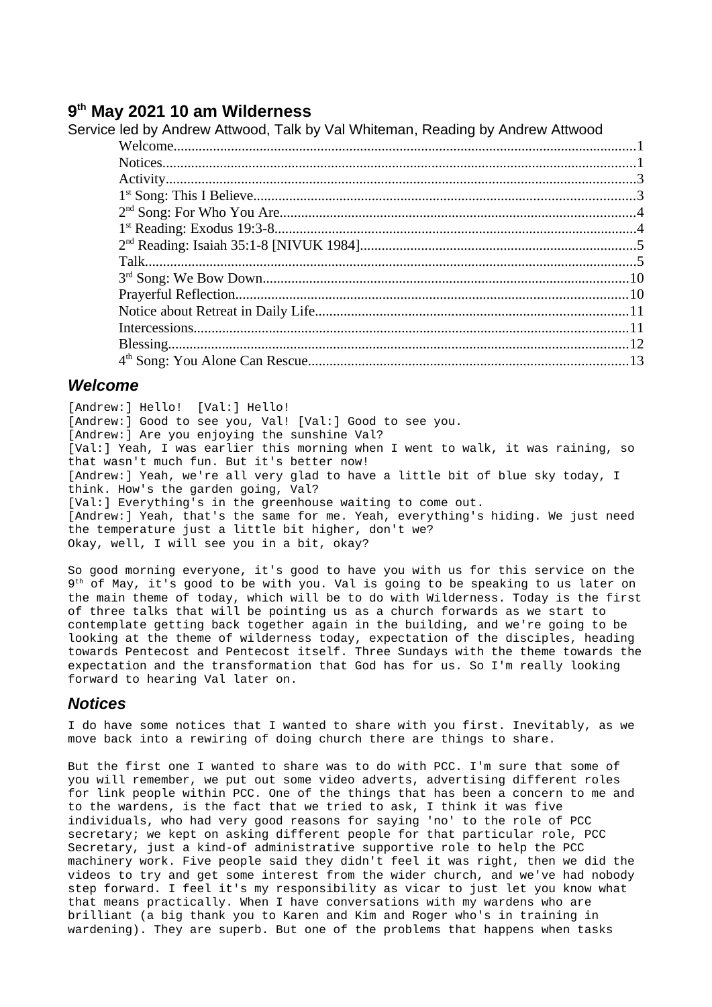# **9 th May 2021 10 am Wilderness**

## Service led by Andrew Attwood, Talk by Val Whiteman, Reading by Andrew Attwood

## <span id="page-0-1"></span>*Welcome*

[Andrew:] Hello! [Val:] Hello! [Andrew:] Good to see you, Val! [Val:] Good to see you. [Andrew:] Are you enjoying the sunshine Val? [Val:] Yeah, I was earlier this morning when I went to walk, it was raining, so that wasn't much fun. But it's better now! [Andrew:] Yeah, we're all very glad to have a little bit of blue sky today, I think. How's the garden going, Val? [Val:] Everything's in the greenhouse waiting to come out. [Andrew:] Yeah, that's the same for me. Yeah, everything's hiding. We just need the temperature just a little bit higher, don't we? Okay, well, I will see you in a bit, okay?

So good morning everyone, it's good to have you with us for this service on the 9 th of May, it's good to be with you. Val is going to be speaking to us later on the main theme of today, which will be to do with Wilderness. Today is the first of three talks that will be pointing us as a church forwards as we start to contemplate getting back together again in the building, and we're going to be looking at the theme of wilderness today, expectation of the disciples, heading towards Pentecost and Pentecost itself. Three Sundays with the theme towards the expectation and the transformation that God has for us. So I'm really looking forward to hearing Val later on.

## <span id="page-0-0"></span>*Notices*

I do have some notices that I wanted to share with you first. Inevitably, as we move back into a rewiring of doing church there are things to share.

But the first one I wanted to share was to do with PCC. I'm sure that some of you will remember, we put out some video adverts, advertising different roles for link people within PCC. One of the things that has been a concern to me and to the wardens, is the fact that we tried to ask, I think it was five individuals, who had very good reasons for saying 'no' to the role of PCC secretary; we kept on asking different people for that particular role, PCC Secretary, just a kind-of administrative supportive role to help the PCC machinery work. Five people said they didn't feel it was right, then we did the videos to try and get some interest from the wider church, and we've had nobody step forward. I feel it's my responsibility as vicar to just let you know what that means practically. When I have conversations with my wardens who are brilliant (a big thank you to Karen and Kim and Roger who's in training in wardening). They are superb. But one of the problems that happens when tasks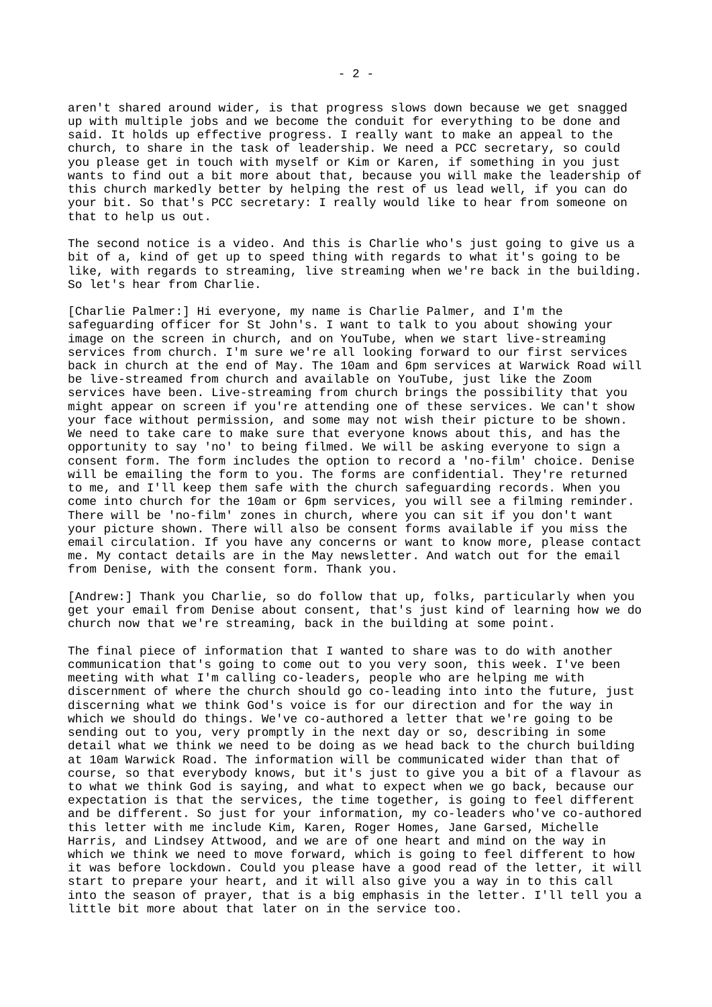aren't shared around wider, is that progress slows down because we get snagged up with multiple jobs and we become the conduit for everything to be done and said. It holds up effective progress. I really want to make an appeal to the church, to share in the task of leadership. We need a PCC secretary, so could you please get in touch with myself or Kim or Karen, if something in you just wants to find out a bit more about that, because you will make the leadership of this church markedly better by helping the rest of us lead well, if you can do your bit. So that's PCC secretary: I really would like to hear from someone on that to help us out.

The second notice is a video. And this is Charlie who's just going to give us a bit of a, kind of get up to speed thing with regards to what it's going to be like, with regards to streaming, live streaming when we're back in the building. So let's hear from Charlie.

[Charlie Palmer:] Hi everyone, my name is Charlie Palmer, and I'm the safeguarding officer for St John's. I want to talk to you about showing your image on the screen in church, and on YouTube, when we start live-streaming services from church. I'm sure we're all looking forward to our first services back in church at the end of May. The 10am and 6pm services at Warwick Road will be live-streamed from church and available on YouTube, just like the Zoom services have been. Live-streaming from church brings the possibility that you might appear on screen if you're attending one of these services. We can't show your face without permission, and some may not wish their picture to be shown. We need to take care to make sure that everyone knows about this, and has the opportunity to say 'no' to being filmed. We will be asking everyone to sign a consent form. The form includes the option to record a 'no-film' choice. Denise will be emailing the form to you. The forms are confidential. They're returned to me, and I'll keep them safe with the church safeguarding records. When you come into church for the 10am or 6pm services, you will see a filming reminder. There will be 'no-film' zones in church, where you can sit if you don't want your picture shown. There will also be consent forms available if you miss the email circulation. If you have any concerns or want to know more, please contact me. My contact details are in the May newsletter. And watch out for the email from Denise, with the consent form. Thank you.

[Andrew:] Thank you Charlie, so do follow that up, folks, particularly when you get your email from Denise about consent, that's just kind of learning how we do church now that we're streaming, back in the building at some point.

The final piece of information that I wanted to share was to do with another communication that's going to come out to you very soon, this week. I've been meeting with what I'm calling co-leaders, people who are helping me with discernment of where the church should go co-leading into into the future, just discerning what we think God's voice is for our direction and for the way in which we should do things. We've co-authored a letter that we're going to be sending out to you, very promptly in the next day or so, describing in some detail what we think we need to be doing as we head back to the church building at 10am Warwick Road. The information will be communicated wider than that of course, so that everybody knows, but it's just to give you a bit of a flavour as to what we think God is saying, and what to expect when we go back, because our expectation is that the services, the time together, is going to feel different and be different. So just for your information, my co-leaders who've co-authored this letter with me include Kim, Karen, Roger Homes, Jane Garsed, Michelle Harris, and Lindsey Attwood, and we are of one heart and mind on the way in which we think we need to move forward, which is going to feel different to how it was before lockdown. Could you please have a good read of the letter, it will start to prepare your heart, and it will also give you a way in to this call into the season of prayer, that is a big emphasis in the letter. I'll tell you a little bit more about that later on in the service too.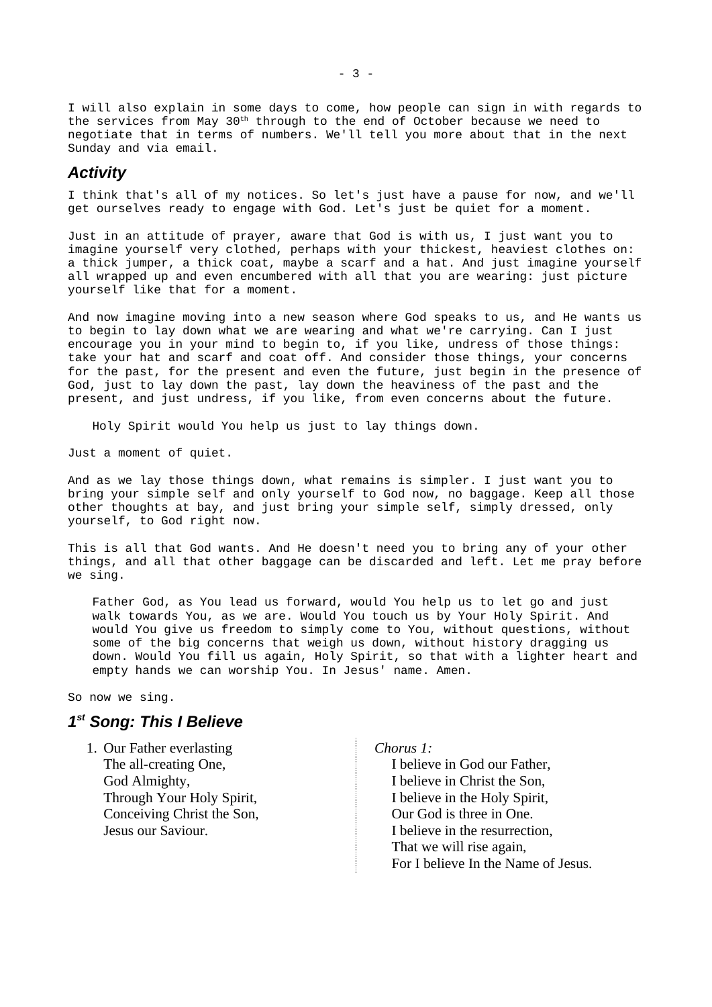I will also explain in some days to come, how people can sign in with regards to the services from May 30th through to the end of October because we need to negotiate that in terms of numbers. We'll tell you more about that in the next Sunday and via email.

## <span id="page-2-1"></span>*Activity*

I think that's all of my notices. So let's just have a pause for now, and we'll get ourselves ready to engage with God. Let's just be quiet for a moment.

Just in an attitude of prayer, aware that God is with us, I just want you to imagine yourself very clothed, perhaps with your thickest, heaviest clothes on: a thick jumper, a thick coat, maybe a scarf and a hat. And just imagine yourself all wrapped up and even encumbered with all that you are wearing: just picture yourself like that for a moment.

And now imagine moving into a new season where God speaks to us, and He wants us to begin to lay down what we are wearing and what we're carrying. Can I just encourage you in your mind to begin to, if you like, undress of those things: take your hat and scarf and coat off. And consider those things, your concerns for the past, for the present and even the future, just begin in the presence of God, just to lay down the past, lay down the heaviness of the past and the present, and just undress, if you like, from even concerns about the future.

Holy Spirit would You help us just to lay things down.

Just a moment of quiet.

And as we lay those things down, what remains is simpler. I just want you to bring your simple self and only yourself to God now, no baggage. Keep all those other thoughts at bay, and just bring your simple self, simply dressed, only yourself, to God right now.

This is all that God wants. And He doesn't need you to bring any of your other things, and all that other baggage can be discarded and left. Let me pray before we sing.

Father God, as You lead us forward, would You help us to let go and just walk towards You, as we are. Would You touch us by Your Holy Spirit. And would You give us freedom to simply come to You, without questions, without some of the big concerns that weigh us down, without history dragging us down. Would You fill us again, Holy Spirit, so that with a lighter heart and empty hands we can worship You. In Jesus' name. Amen.

So now we sing.

## <span id="page-2-0"></span>*1 st Song: This I Believe*

1. Our Father everlasting The all-creating One, God Almighty, Through Your Holy Spirit, Conceiving Christ the Son, Jesus our Saviour.

*Chorus 1:* I believe in God our Father, I believe in Christ the Son, I believe in the Holy Spirit, Our God is three in One. I believe in the resurrection, That we will rise again, For I believe In the Name of Jesus.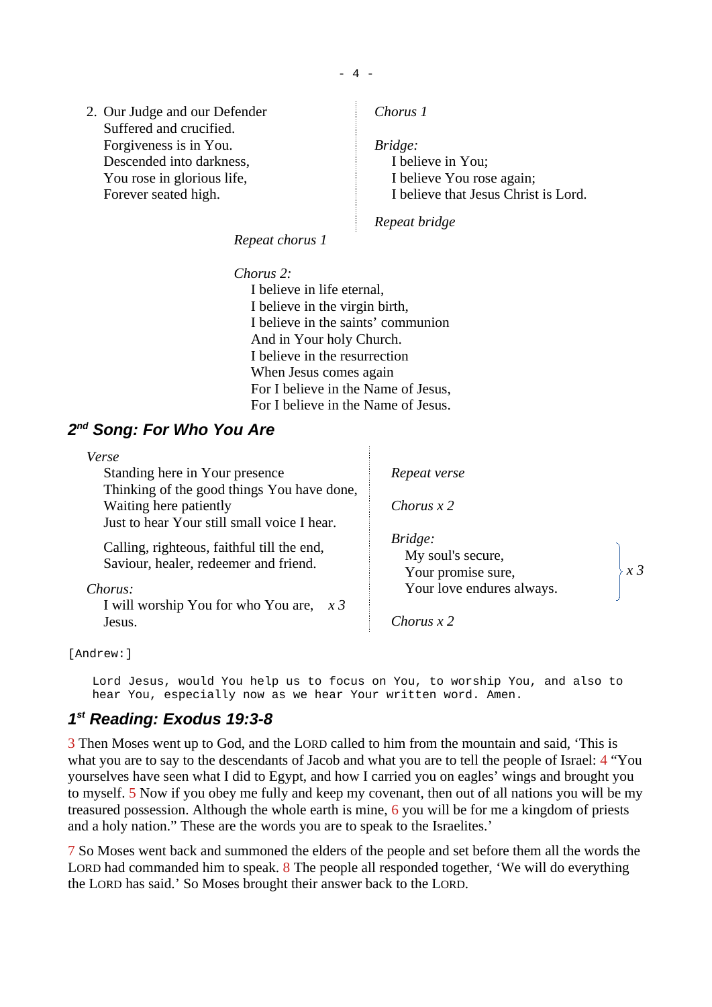2. Our Judge and our Defender Suffered and crucified. Forgiveness is in You. Descended into darkness, You rose in glorious life, Forever seated high.

*Chorus 1*

*Bridge:* I believe in You; I believe You rose again; I believe that Jesus Christ is Lord.

*Repeat bridge*

*Repeat chorus 1*

*Chorus 2:* I believe in life eternal, I believe in the virgin birth, I believe in the saints' communion And in Your holy Church. I believe in the resurrection When Jesus comes again For I believe in the Name of Jesus, For I believe in the Name of Jesus.

# <span id="page-3-1"></span>*2 nd Song: For Who You Are*

| Verse                                                                               |                                                    |       |
|-------------------------------------------------------------------------------------|----------------------------------------------------|-------|
| Standing here in Your presence                                                      | Repeat verse                                       |       |
| Thinking of the good things You have done,                                          |                                                    |       |
| Waiting here patiently                                                              | Chorus $x$ 2                                       |       |
| Just to hear Your still small voice I hear.                                         |                                                    |       |
| Calling, righteous, faithful till the end,<br>Saviour, healer, redeemer and friend. | Bridge:<br>My soul's secure,<br>Your promise sure, | $x_3$ |
| Chorus:                                                                             | Your love endures always.                          |       |
| I will worship You for who You are, $x$ 3<br>Jesus.                                 | Chorus x 2                                         |       |

## [Andrew:]

Lord Jesus, would You help us to focus on You, to worship You, and also to hear You, especially now as we hear Your written word. Amen.

## <span id="page-3-0"></span>*1 st Reading: Exodus 19:3-8*

3 Then Moses went up to God, and the LORD called to him from the mountain and said, 'This is what you are to say to the descendants of Jacob and what you are to tell the people of Israel: 4 "You yourselves have seen what I did to Egypt, and how I carried you on eagles' wings and brought you to myself. 5 Now if you obey me fully and keep my covenant, then out of all nations you will be my treasured possession. Although the whole earth is mine, 6 you will be for me a kingdom of priests and a holy nation." These are the words you are to speak to the Israelites.'

7 So Moses went back and summoned the elders of the people and set before them all the words the LORD had commanded him to speak. 8 The people all responded together, 'We will do everything the LORD has said.' So Moses brought their answer back to the LORD.

- 4 -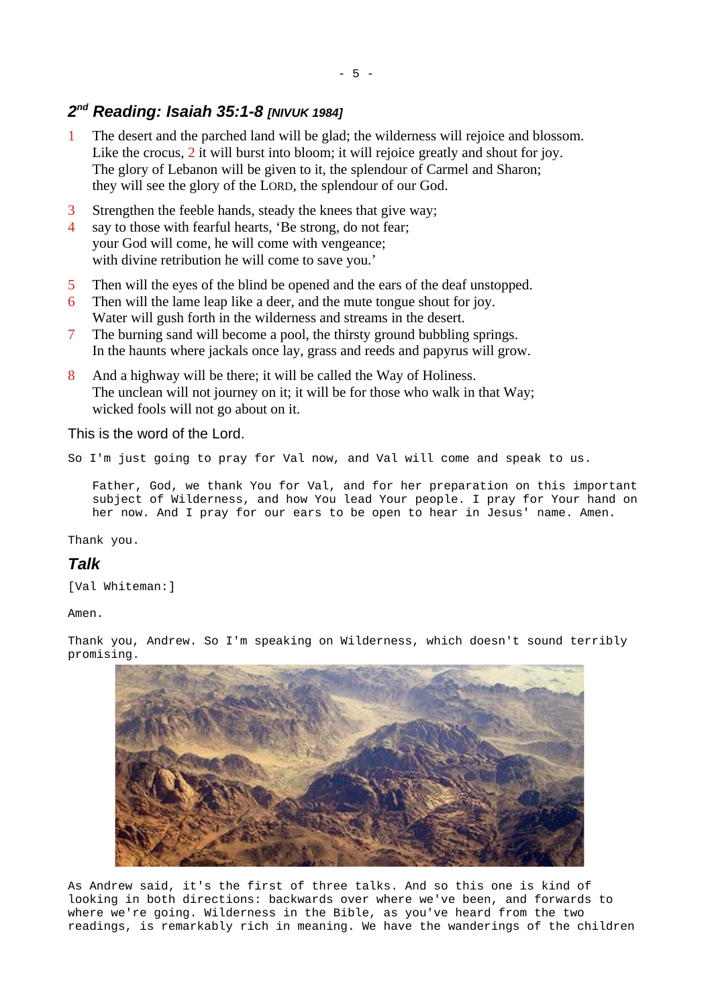# <span id="page-4-1"></span>*2 nd Reading: Isaiah 35:1-8 [NIVUK 1984]*

- 1 The desert and the parched land will be glad; the wilderness will rejoice and blossom. Like the crocus, 2 it will burst into bloom; it will rejoice greatly and shout for joy. The glory of Lebanon will be given to it, the splendour of Carmel and Sharon; they will see the glory of the LORD, the splendour of our God.
- 3 Strengthen the feeble hands, steady the knees that give way;
- 4 say to those with fearful hearts, 'Be strong, do not fear; your God will come, he will come with vengeance; with divine retribution he will come to save you.'
- 5 Then will the eyes of the blind be opened and the ears of the deaf unstopped.
- 6 Then will the lame leap like a deer, and the mute tongue shout for joy. Water will gush forth in the wilderness and streams in the desert.
- 7 The burning sand will become a pool, the thirsty ground bubbling springs. In the haunts where jackals once lay, grass and reeds and papyrus will grow.
- 8 And a highway will be there; it will be called the Way of Holiness. The unclean will not journey on it; it will be for those who walk in that Way; wicked fools will not go about on it.

This is the word of the Lord.

So I'm just going to pray for Val now, and Val will come and speak to us.

Father, God, we thank You for Val, and for her preparation on this important subject of Wilderness, and how You lead Your people. I pray for Your hand on her now. And I pray for our ears to be open to hear in Jesus' name. Amen.

Thank you.

# <span id="page-4-0"></span>*Talk*

[Val Whiteman:]

Amen.

Thank you, Andrew. So I'm speaking on Wilderness, which doesn't sound terribly promising.



As Andrew said, it's the first of three talks. And so this one is kind of looking in both directions: backwards over where we've been, and forwards to where we're going. Wilderness in the Bible, as you've heard from the two readings, is remarkably rich in meaning. We have the wanderings of the children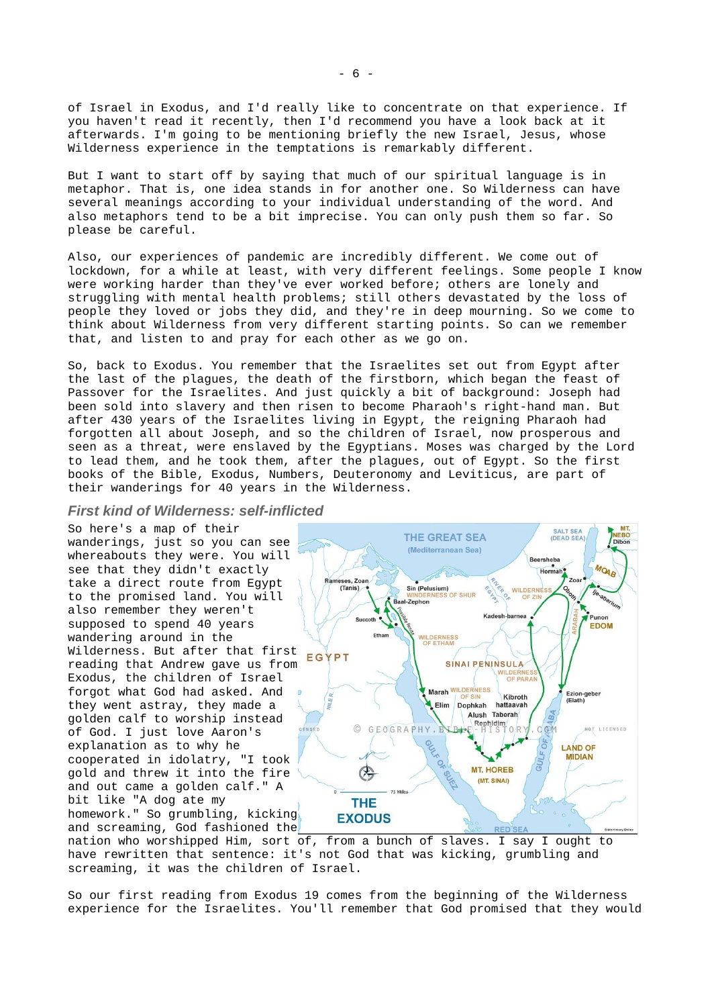of Israel in Exodus, and I'd really like to concentrate on that experience. If you haven't read it recently, then I'd recommend you have a look back at it afterwards. I'm going to be mentioning briefly the new Israel, Jesus, whose Wilderness experience in the temptations is remarkably different.

But I want to start off by saying that much of our spiritual language is in metaphor. That is, one idea stands in for another one. So Wilderness can have several meanings according to your individual understanding of the word. And also metaphors tend to be a bit imprecise. You can only push them so far. So please be careful.

Also, our experiences of pandemic are incredibly different. We come out of lockdown, for a while at least, with very different feelings. Some people I know were working harder than they've ever worked before; others are lonely and struggling with mental health problems; still others devastated by the loss of people they loved or jobs they did, and they're in deep mourning. So we come to think about Wilderness from very different starting points. So can we remember that, and listen to and pray for each other as we go on.

So, back to Exodus. You remember that the Israelites set out from Egypt after the last of the plagues, the death of the firstborn, which began the feast of Passover for the Israelites. And just quickly a bit of background: Joseph had been sold into slavery and then risen to become Pharaoh's right-hand man. But after 430 years of the Israelites living in Egypt, the reigning Pharaoh had forgotten all about Joseph, and so the children of Israel, now prosperous and seen as a threat, were enslaved by the Egyptians. Moses was charged by the Lord to lead them, and he took them, after the plagues, out of Egypt. So the first books of the Bible, Exodus, Numbers, Deuteronomy and Leviticus, are part of their wanderings for 40 years in the Wilderness.

#### *First kind of Wilderness: self-inflicted*

So here's a map of their wanderings, just so you can see whereabouts they were. You will see that they didn't exactly take a direct route from Egypt to the promised land. You will also remember they weren't supposed to spend 40 years wandering around in the Wilderness. But after that first reading that Andrew gave us from Exodus, the children of Israel forgot what God had asked. And they went astray, they made a golden calf to worship instead of God. I just love Aaron's explanation as to why he cooperated in idolatry, "I took gold and threw it into the fire and out came a golden calf." A bit like "A dog ate my homework." So grumbling, kicking and screaming, God fashioned the



nation who worshipped Him, sort of, from a bunch of slaves. I say I ought to have rewritten that sentence: it's not God that was kicking, grumbling and screaming, it was the children of Israel.

So our first reading from Exodus 19 comes from the beginning of the Wilderness experience for the Israelites. You'll remember that God promised that they would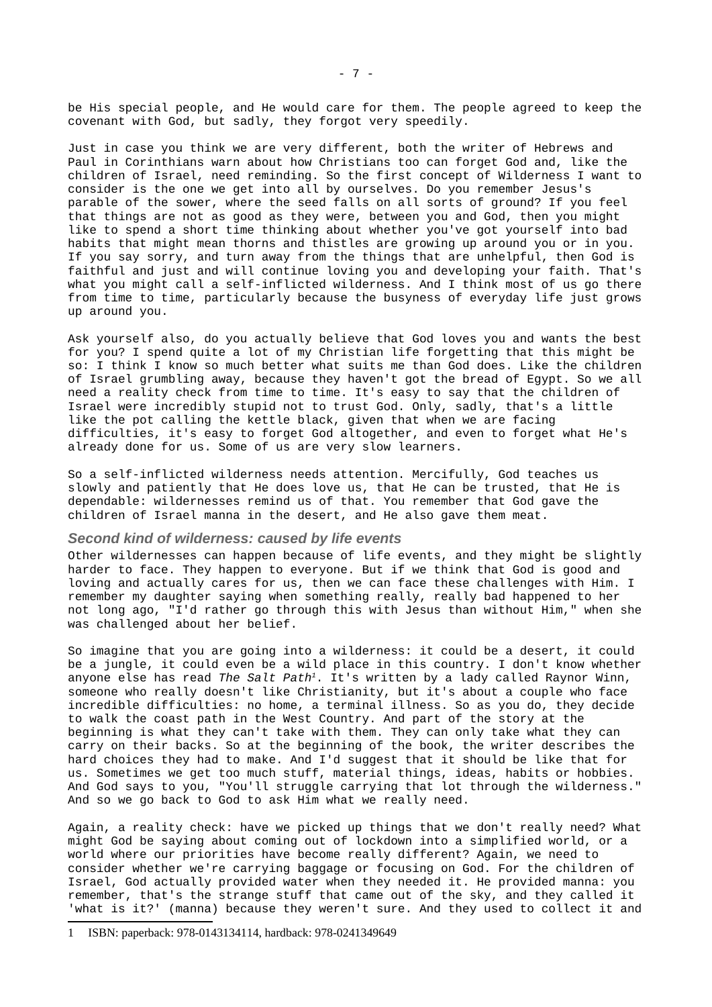be His special people, and He would care for them. The people agreed to keep the covenant with God, but sadly, they forgot very speedily.

Just in case you think we are very different, both the writer of Hebrews and Paul in Corinthians warn about how Christians too can forget God and, like the children of Israel, need reminding. So the first concept of Wilderness I want to consider is the one we get into all by ourselves. Do you remember Jesus's parable of the sower, where the seed falls on all sorts of ground? If you feel that things are not as good as they were, between you and God, then you might like to spend a short time thinking about whether you've got yourself into bad habits that might mean thorns and thistles are growing up around you or in you. If you say sorry, and turn away from the things that are unhelpful, then God is faithful and just and will continue loving you and developing your faith. That's what you might call a self-inflicted wilderness. And I think most of us go there from time to time, particularly because the busyness of everyday life just grows up around you.

Ask yourself also, do you actually believe that God loves you and wants the best for you? I spend quite a lot of my Christian life forgetting that this might be so: I think I know so much better what suits me than God does. Like the children of Israel grumbling away, because they haven't got the bread of Egypt. So we all need a reality check from time to time. It's easy to say that the children of Israel were incredibly stupid not to trust God. Only, sadly, that's a little like the pot calling the kettle black, given that when we are facing difficulties, it's easy to forget God altogether, and even to forget what He's already done for us. Some of us are very slow learners.

So a self-inflicted wilderness needs attention. Mercifully, God teaches us slowly and patiently that He does love us, that He can be trusted, that He is dependable: wildernesses remind us of that. You remember that God gave the children of Israel manna in the desert, and He also gave them meat.

#### *Second kind of wilderness: caused by life events*

Other wildernesses can happen because of life events, and they might be slightly harder to face. They happen to everyone. But if we think that God is good and loving and actually cares for us, then we can face these challenges with Him. I remember my daughter saying when something really, really bad happened to her not long ago, "I'd rather go through this with Jesus than without Him," when she was challenged about her belief.

So imagine that you are going into a wilderness: it could be a desert, it could be a jungle, it could even be a wild place in this country. I don't know whether anyone else has read *The Salt Path[1](#page-6-0)*. It's written by a lady called Raynor Winn, someone who really doesn't like Christianity, but it's about a couple who face incredible difficulties: no home, a terminal illness. So as you do, they decide to walk the coast path in the West Country. And part of the story at the beginning is what they can't take with them. They can only take what they can carry on their backs. So at the beginning of the book, the writer describes the hard choices they had to make. And I'd suggest that it should be like that for us. Sometimes we get too much stuff, material things, ideas, habits or hobbies. And God says to you, "You'll struggle carrying that lot through the wilderness." And so we go back to God to ask Him what we really need.

Again, a reality check: have we picked up things that we don't really need? What might God be saying about coming out of lockdown into a simplified world, or a world where our priorities have become really different? Again, we need to consider whether we're carrying baggage or focusing on God. For the children of Israel, God actually provided water when they needed it. He provided manna: you remember, that's the strange stuff that came out of the sky, and they called it 'what is it?' (manna) because they weren't sure. And they used to collect it and

<span id="page-6-0"></span><sup>1</sup> ISBN: paperback: 978-0143134114, hardback: 978-0241349649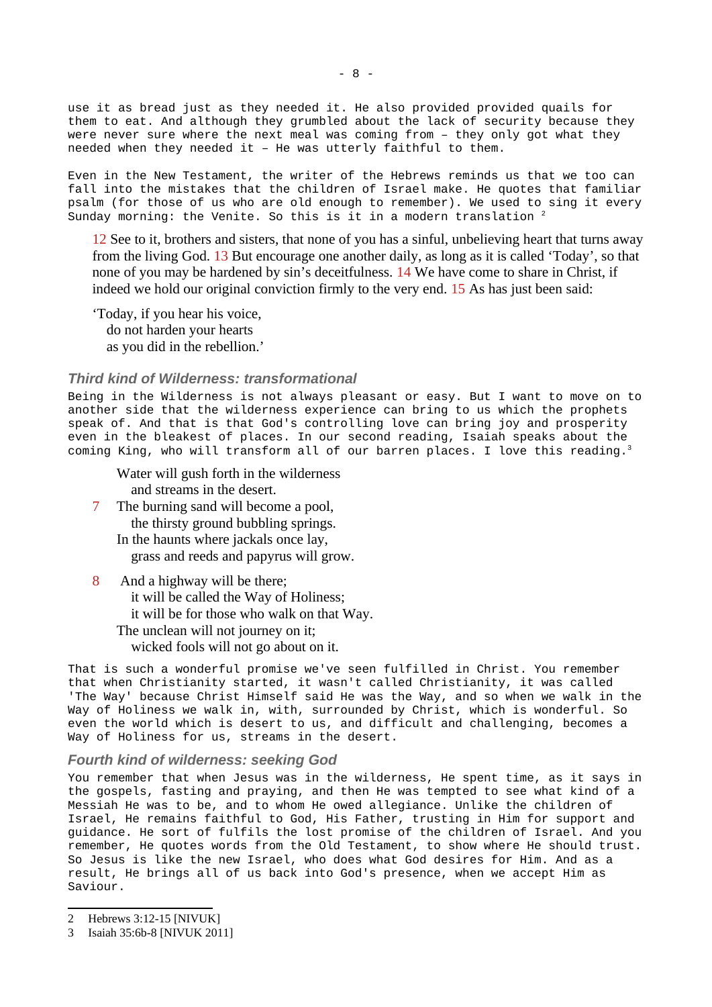use it as bread just as they needed it. He also provided provided quails for them to eat. And although they grumbled about the lack of security because they were never sure where the next meal was coming from – they only got what they needed when they needed it – He was utterly faithful to them.

Even in the New Testament, the writer of the Hebrews reminds us that we too can fall into the mistakes that the children of Israel make. He quotes that familiar psalm (for those of us who are old enough to remember). We used to sing it every Sunday morning: the Venite. So this is it in a modern translation  $2$ 

12 See to it, brothers and sisters, that none of you has a sinful, unbelieving heart that turns away from the living God. 13 But encourage one another daily, as long as it is called 'Today', so that none of you may be hardened by sin's deceitfulness. 14 We have come to share in Christ, if indeed we hold our original conviction firmly to the very end. 15 As has just been said:

'Today, if you hear his voice, do not harden your hearts as you did in the rebellion.'

#### *Third kind of Wilderness: transformational*

Being in the Wilderness is not always pleasant or easy. But I want to move on to another side that the wilderness experience can bring to us which the prophets speak of. And that is that God's controlling love can bring joy and prosperity even in the bleakest of places. In our second reading, Isaiah speaks about the coming King, who will transform all of our barren places. I love this reading.<sup>[3](#page-7-1)</sup>

Water will gush forth in the wilderness and streams in the desert.

- 7 The burning sand will become a pool, the thirsty ground bubbling springs. In the haunts where jackals once lay, grass and reeds and papyrus will grow.
- 8 And a highway will be there; it will be called the Way of Holiness; it will be for those who walk on that Way. The unclean will not journey on it; wicked fools will not go about on it.

That is such a wonderful promise we've seen fulfilled in Christ. You remember that when Christianity started, it wasn't called Christianity, it was called 'The Way' because Christ Himself said He was the Way, and so when we walk in the Way of Holiness we walk in, with, surrounded by Christ, which is wonderful. So even the world which is desert to us, and difficult and challenging, becomes a Way of Holiness for us, streams in the desert.

#### *Fourth kind of wilderness: seeking God*

You remember that when Jesus was in the wilderness, He spent time, as it says in the gospels, fasting and praying, and then He was tempted to see what kind of a Messiah He was to be, and to whom He owed allegiance. Unlike the children of Israel, He remains faithful to God, His Father, trusting in Him for support and guidance. He sort of fulfils the lost promise of the children of Israel. And you remember, He quotes words from the Old Testament, to show where He should trust. So Jesus is like the new Israel, who does what God desires for Him. And as a result, He brings all of us back into God's presence, when we accept Him as Saviour.

<span id="page-7-0"></span><sup>2</sup> Hebrews 3:12-15 [NIVUK]

<span id="page-7-1"></span><sup>3</sup> Isaiah 35:6b-8 [NIVUK 2011]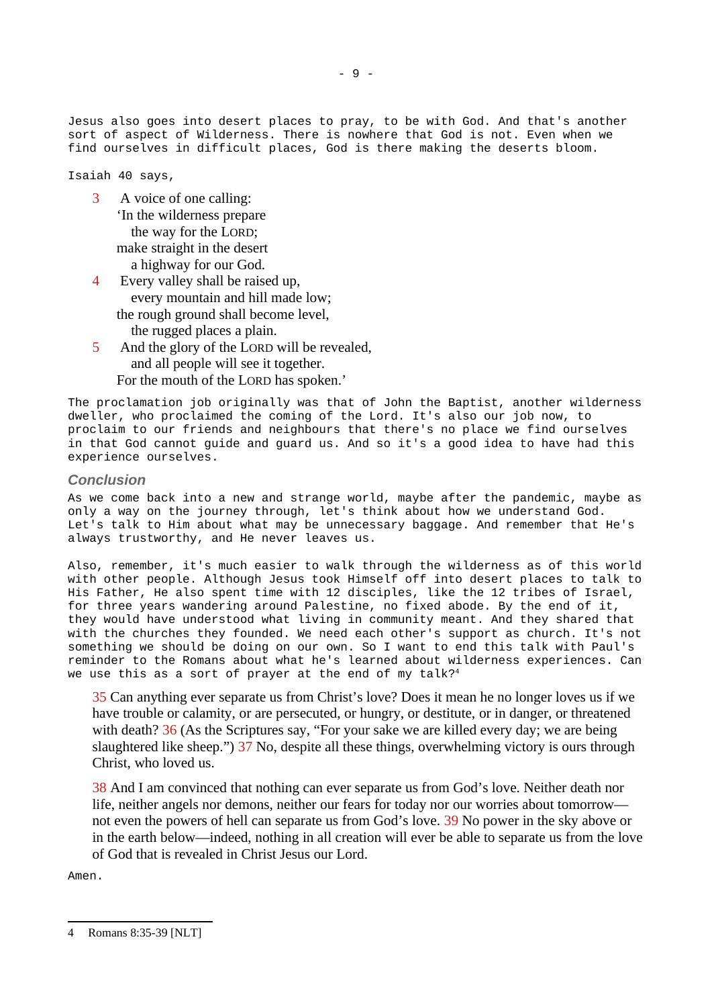Jesus also goes into desert places to pray, to be with God. And that's another sort of aspect of Wilderness. There is nowhere that God is not. Even when we find ourselves in difficult places, God is there making the deserts bloom.

Isaiah 40 says,

- 3 A voice of one calling: 'In the wilderness prepare the way for the LORD; make straight in the desert a highway for our God.
- 4 Every valley shall be raised up, every mountain and hill made low; the rough ground shall become level, the rugged places a plain.
- 5 And the glory of the LORD will be revealed, and all people will see it together. For the mouth of the LORD has spoken.'

The proclamation job originally was that of John the Baptist, another wilderness dweller, who proclaimed the coming of the Lord. It's also our job now, to proclaim to our friends and neighbours that there's no place we find ourselves in that God cannot guide and guard us. And so it's a good idea to have had this experience ourselves.

### *Conclusion*

As we come back into a new and strange world, maybe after the pandemic, maybe as only a way on the journey through, let's think about how we understand God. Let's talk to Him about what may be unnecessary baggage. And remember that He's always trustworthy, and He never leaves us.

Also, remember, it's much easier to walk through the wilderness as of this world with other people. Although Jesus took Himself off into desert places to talk to His Father, He also spent time with 12 disciples, like the 12 tribes of Israel, for three years wandering around Palestine, no fixed abode. By the end of it, they would have understood what living in community meant. And they shared that with the churches they founded. We need each other's support as church. It's not something we should be doing on our own. So I want to end this talk with Paul's reminder to the Romans about what he's learned about wilderness experiences. Can we use this as a sort of prayer at the end of my talk?<sup>[4](#page-8-0)</sup>

35 Can anything ever separate us from Christ's love? Does it mean he no longer loves us if we have trouble or calamity, or are persecuted, or hungry, or destitute, or in danger, or threatened with death? 36 (As the Scriptures say, "For your sake we are killed every day; we are being slaughtered like sheep.") 37 No, despite all these things, overwhelming victory is ours through Christ, who loved us.

38 And I am convinced that nothing can ever separate us from God's love. Neither death nor life, neither angels nor demons, neither our fears for today nor our worries about tomorrow not even the powers of hell can separate us from God's love. 39 No power in the sky above or in the earth below—indeed, nothing in all creation will ever be able to separate us from the love of God that is revealed in Christ Jesus our Lord.

Amen.

<span id="page-8-0"></span><sup>4</sup> Romans 8:35-39 [NLT]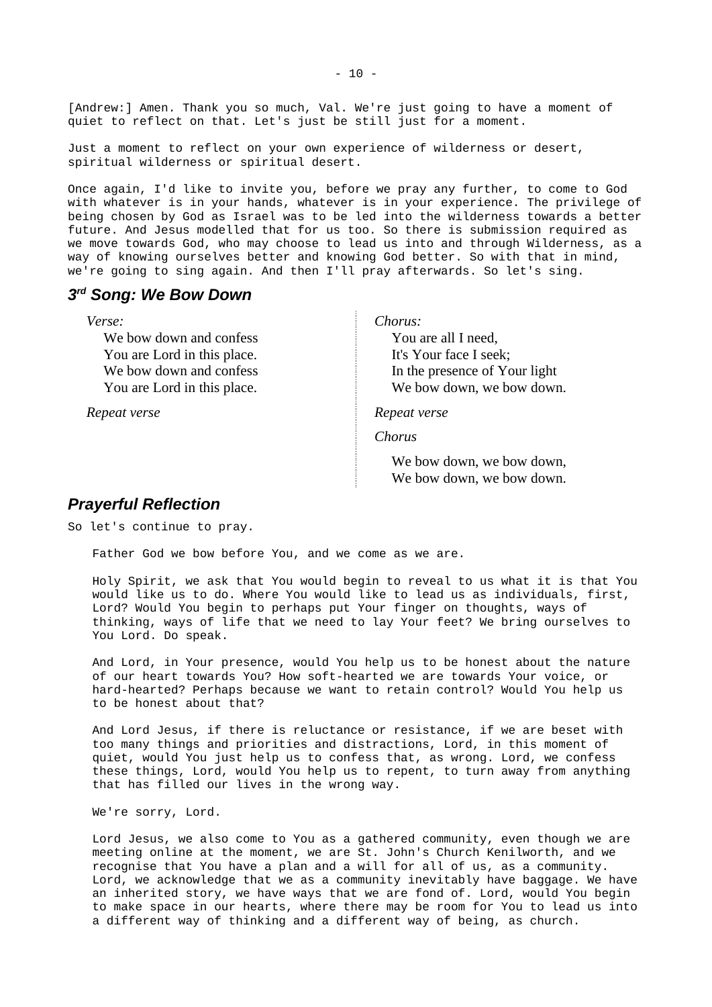[Andrew:] Amen. Thank you so much, Val. We're just going to have a moment of quiet to reflect on that. Let's just be still just for a moment.

Just a moment to reflect on your own experience of wilderness or desert, spiritual wilderness or spiritual desert.

Once again, I'd like to invite you, before we pray any further, to come to God with whatever is in your hands, whatever is in your experience. The privilege of being chosen by God as Israel was to be led into the wilderness towards a better future. And Jesus modelled that for us too. So there is submission required as we move towards God, who may choose to lead us into and through Wilderness, as a way of knowing ourselves better and knowing God better. So with that in mind, we're going to sing again. And then I'll pray afterwards. So let's sing.

## <span id="page-9-1"></span>*3 rd Song: We Bow Down*

*Verse:*

We bow down and confess You are Lord in this place. We bow down and confess You are Lord in this place.

*Repeat verse*

*Chorus:*

You are all I need, It's Your face I seek; In the presence of Your light We bow down, we bow down.

*Repeat verse*

*Chorus*

We bow down, we bow down, We bow down, we bow down.

### <span id="page-9-0"></span>*Prayerful Reflection*

So let's continue to pray.

Father God we bow before You, and we come as we are.

Holy Spirit, we ask that You would begin to reveal to us what it is that You would like us to do. Where You would like to lead us as individuals, first, Lord? Would You begin to perhaps put Your finger on thoughts, ways of thinking, ways of life that we need to lay Your feet? We bring ourselves to You Lord. Do speak.

And Lord, in Your presence, would You help us to be honest about the nature of our heart towards You? How soft-hearted we are towards Your voice, or hard-hearted? Perhaps because we want to retain control? Would You help us to be honest about that?

And Lord Jesus, if there is reluctance or resistance, if we are beset with too many things and priorities and distractions, Lord, in this moment of quiet, would You just help us to confess that, as wrong. Lord, we confess these things, Lord, would You help us to repent, to turn away from anything that has filled our lives in the wrong way.

We're sorry, Lord.

Lord Jesus, we also come to You as a gathered community, even though we are meeting online at the moment, we are St. John's Church Kenilworth, and we recognise that You have a plan and a will for all of us, as a community. Lord, we acknowledge that we as a community inevitably have baggage. We have an inherited story, we have ways that we are fond of. Lord, would You begin to make space in our hearts, where there may be room for You to lead us into a different way of thinking and a different way of being, as church.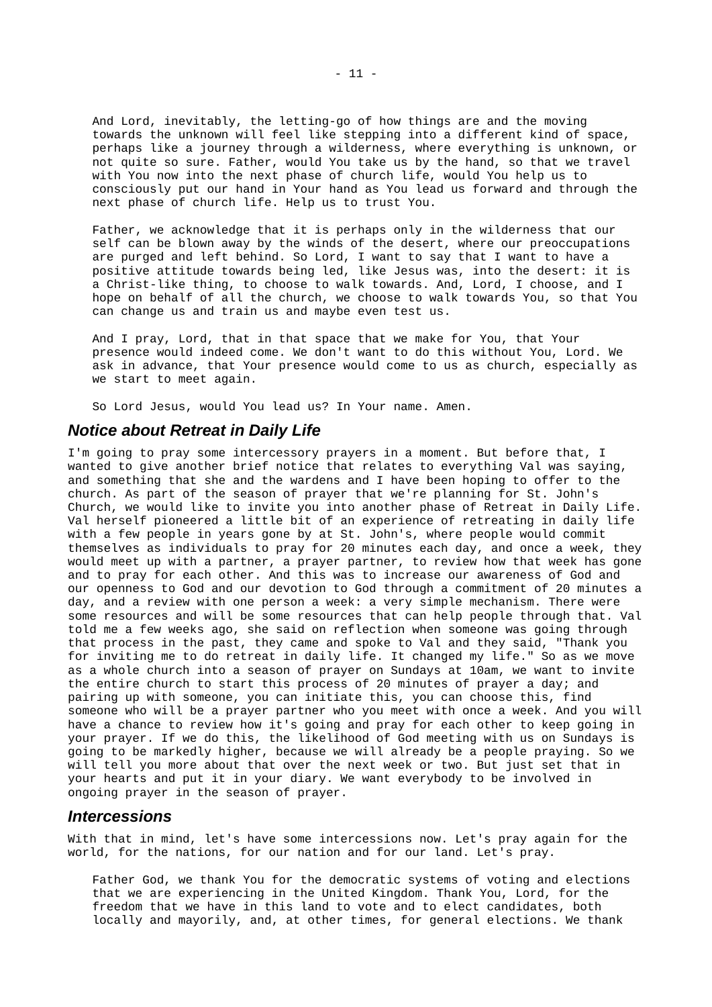And Lord, inevitably, the letting-go of how things are and the moving towards the unknown will feel like stepping into a different kind of space, perhaps like a journey through a wilderness, where everything is unknown, or not quite so sure. Father, would You take us by the hand, so that we travel with You now into the next phase of church life, would You help us to consciously put our hand in Your hand as You lead us forward and through the next phase of church life. Help us to trust You.

Father, we acknowledge that it is perhaps only in the wilderness that our self can be blown away by the winds of the desert, where our preoccupations are purged and left behind. So Lord, I want to say that I want to have a positive attitude towards being led, like Jesus was, into the desert: it is a Christ-like thing, to choose to walk towards. And, Lord, I choose, and I hope on behalf of all the church, we choose to walk towards You, so that You can change us and train us and maybe even test us.

And I pray, Lord, that in that space that we make for You, that Your presence would indeed come. We don't want to do this without You, Lord. We ask in advance, that Your presence would come to us as church, especially as we start to meet again.

So Lord Jesus, would You lead us? In Your name. Amen.

## <span id="page-10-1"></span>*Notice about Retreat in Daily Life*

I'm going to pray some intercessory prayers in a moment. But before that, I wanted to give another brief notice that relates to everything Val was saying, and something that she and the wardens and I have been hoping to offer to the church. As part of the season of prayer that we're planning for St. John's Church, we would like to invite you into another phase of Retreat in Daily Life. Val herself pioneered a little bit of an experience of retreating in daily life with a few people in years gone by at St. John's, where people would commit themselves as individuals to pray for 20 minutes each day, and once a week, they would meet up with a partner, a prayer partner, to review how that week has gone and to pray for each other. And this was to increase our awareness of God and our openness to God and our devotion to God through a commitment of 20 minutes a day, and a review with one person a week: a very simple mechanism. There were some resources and will be some resources that can help people through that. Val told me a few weeks ago, she said on reflection when someone was going through that process in the past, they came and spoke to Val and they said, "Thank you for inviting me to do retreat in daily life. It changed my life." So as we move as a whole church into a season of prayer on Sundays at 10am, we want to invite the entire church to start this process of 20 minutes of prayer a day; and pairing up with someone, you can initiate this, you can choose this, find someone who will be a prayer partner who you meet with once a week. And you will have a chance to review how it's going and pray for each other to keep going in your prayer. If we do this, the likelihood of God meeting with us on Sundays is going to be markedly higher, because we will already be a people praying. So we will tell you more about that over the next week or two. But just set that in your hearts and put it in your diary. We want everybody to be involved in ongoing prayer in the season of prayer.

### <span id="page-10-0"></span>*Intercessions*

With that in mind, let's have some intercessions now. Let's pray again for the world, for the nations, for our nation and for our land. Let's pray.

Father God, we thank You for the democratic systems of voting and elections that we are experiencing in the United Kingdom. Thank You, Lord, for the freedom that we have in this land to vote and to elect candidates, both locally and mayorily, and, at other times, for general elections. We thank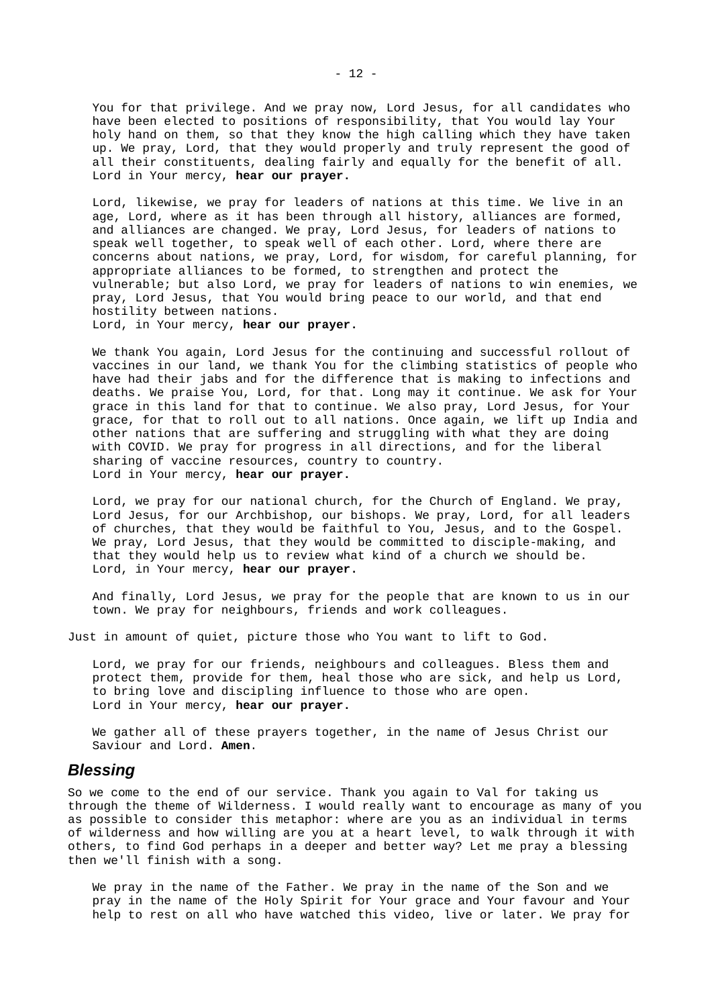You for that privilege. And we pray now, Lord Jesus, for all candidates who have been elected to positions of responsibility, that You would lay Your holy hand on them, so that they know the high calling which they have taken up. We pray, Lord, that they would properly and truly represent the good of all their constituents, dealing fairly and equally for the benefit of all. Lord in Your mercy, **hear our prayer.**

Lord, likewise, we pray for leaders of nations at this time. We live in an age, Lord, where as it has been through all history, alliances are formed, and alliances are changed. We pray, Lord Jesus, for leaders of nations to speak well together, to speak well of each other. Lord, where there are concerns about nations, we pray, Lord, for wisdom, for careful planning, for appropriate alliances to be formed, to strengthen and protect the vulnerable; but also Lord, we pray for leaders of nations to win enemies, we pray, Lord Jesus, that You would bring peace to our world, and that end hostility between nations.

Lord, in Your mercy, **hear our prayer.** 

We thank You again, Lord Jesus for the continuing and successful rollout of vaccines in our land, we thank You for the climbing statistics of people who have had their jabs and for the difference that is making to infections and deaths. We praise You, Lord, for that. Long may it continue. We ask for Your grace in this land for that to continue. We also pray, Lord Jesus, for Your grace, for that to roll out to all nations. Once again, we lift up India and other nations that are suffering and struggling with what they are doing with COVID. We pray for progress in all directions, and for the liberal sharing of vaccine resources, country to country. Lord in Your mercy, **hear our prayer.** 

Lord, we pray for our national church, for the Church of England. We pray, Lord Jesus, for our Archbishop, our bishops. We pray, Lord, for all leaders of churches, that they would be faithful to You, Jesus, and to the Gospel. We pray, Lord Jesus, that they would be committed to disciple-making, and that they would help us to review what kind of a church we should be. Lord, in Your mercy, **hear our prayer.**

And finally, Lord Jesus, we pray for the people that are known to us in our town. We pray for neighbours, friends and work colleagues.

Just in amount of quiet, picture those who You want to lift to God.

Lord, we pray for our friends, neighbours and colleagues. Bless them and protect them, provide for them, heal those who are sick, and help us Lord, to bring love and discipling influence to those who are open. Lord in Your mercy, **hear our prayer.** 

We gather all of these prayers together, in the name of Jesus Christ our Saviour and Lord. **Amen**.

#### <span id="page-11-0"></span>*Blessing*

So we come to the end of our service. Thank you again to Val for taking us through the theme of Wilderness. I would really want to encourage as many of you as possible to consider this metaphor: where are you as an individual in terms of wilderness and how willing are you at a heart level, to walk through it with others, to find God perhaps in a deeper and better way? Let me pray a blessing then we'll finish with a song.

We pray in the name of the Father. We pray in the name of the Son and we pray in the name of the Holy Spirit for Your grace and Your favour and Your help to rest on all who have watched this video, live or later. We pray for